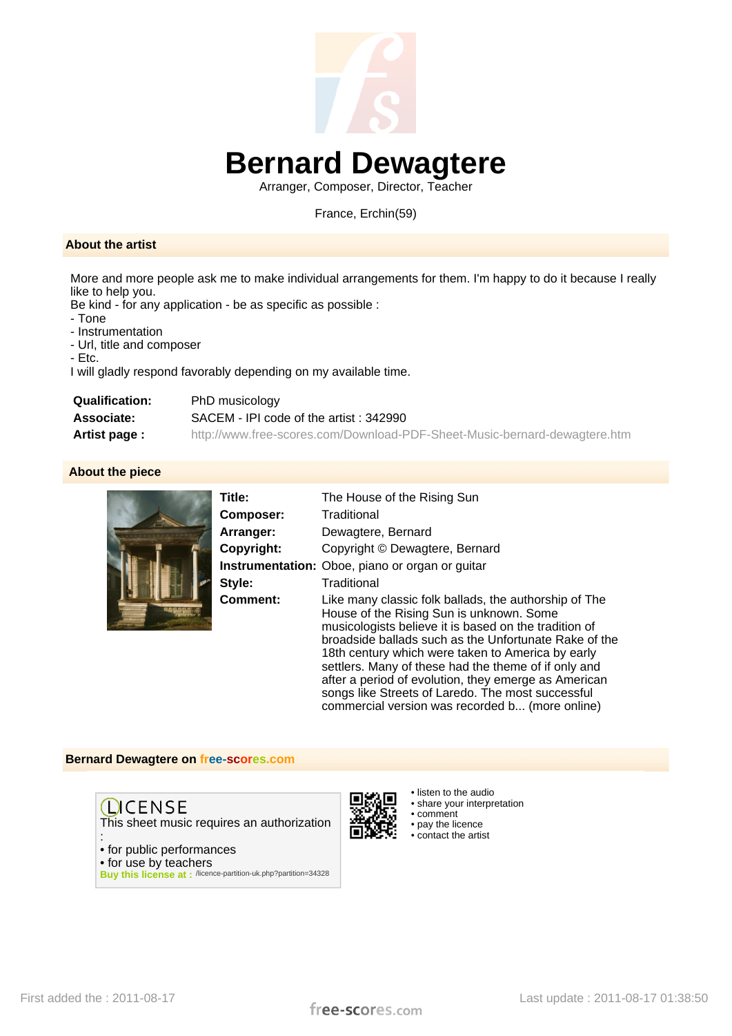

## **Bernard Dewagtere**

Arranger, Composer, Director, Teacher

France, Erchin(59)

#### **About the artist**

More and more people ask me to make individual arrangements for them. I'm happy to do it because I really like to help you.

Be kind - for any application - be as specific as possible :

- Tone
- Instrumentation

- Url, title and composer

- Etc.

I will gladly respond favorably depending on my available time.

| <b>Qualification:</b> | PhD musicology                                                            |
|-----------------------|---------------------------------------------------------------------------|
| <b>Associate:</b>     | SACEM - IPI code of the artist: 342990                                    |
| Artist page :         | http://www.free-scores.com/Download-PDF-Sheet-Music-bernard-dewagtere.htm |

 **About the piece**



| Title:     | The House of the Rising Sun                                                                                                                                                                                                                                                                                                                                                                                                                                                                      |
|------------|--------------------------------------------------------------------------------------------------------------------------------------------------------------------------------------------------------------------------------------------------------------------------------------------------------------------------------------------------------------------------------------------------------------------------------------------------------------------------------------------------|
| Composer:  | Traditional                                                                                                                                                                                                                                                                                                                                                                                                                                                                                      |
| Arranger:  | Dewagtere, Bernard                                                                                                                                                                                                                                                                                                                                                                                                                                                                               |
| Copyright: | Copyright © Dewagtere, Bernard                                                                                                                                                                                                                                                                                                                                                                                                                                                                   |
|            | <b>Instrumentation:</b> Oboe, piano or organ or guitar                                                                                                                                                                                                                                                                                                                                                                                                                                           |
| Style:     | Traditional                                                                                                                                                                                                                                                                                                                                                                                                                                                                                      |
| Comment:   | Like many classic folk ballads, the authorship of The<br>House of the Rising Sun is unknown. Some<br>musicologists believe it is based on the tradition of<br>broadside ballads such as the Unfortunate Rake of the<br>18th century which were taken to America by early<br>settlers. Many of these had the theme of if only and<br>after a period of evolution, they emerge as American<br>songs like Streets of Laredo. The most successful<br>commercial version was recorded b (more online) |

#### **Bernard Dewagtere on free-scores.com**

**QCENSE** This sheet music requires an authorization

: • for public performances • for use by teachers

**Buy this license at :** /licence-partition-uk.php?partition=34328

• listen to the audio • share your interpretation • comment • pay the licence • contact the artist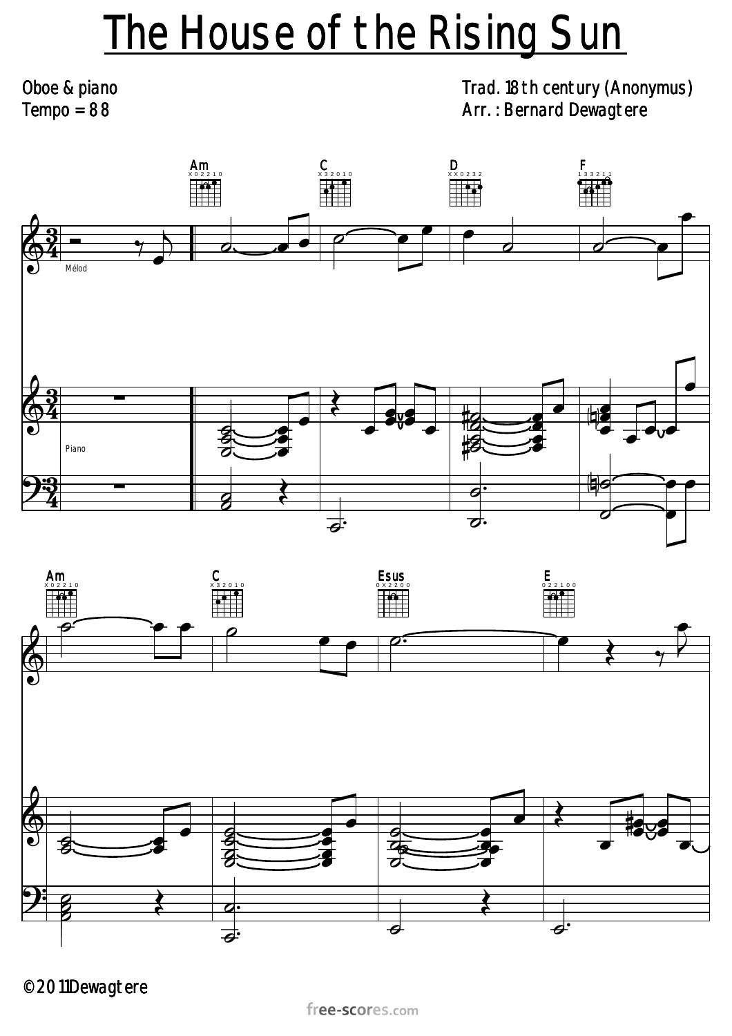# The House of the Rising Sun

Oboe & piano  $Tempo = 88$ 

### Trad. 18th century (Anonymus) Arr. : Bernard Dewagtere